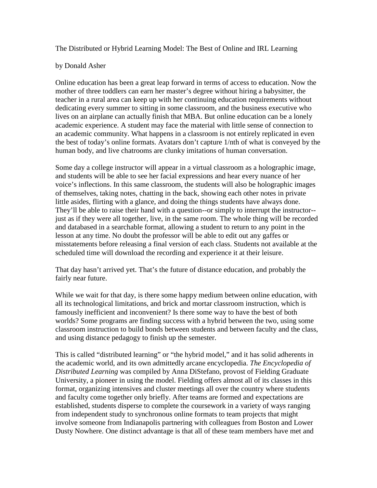The Distributed or Hybrid Learning Model: The Best of Online and IRL Learning

## by Donald Asher

Online education has been a great leap forward in terms of access to education. Now the mother of three toddlers can earn her master's degree without hiring a babysitter, the teacher in a rural area can keep up with her continuing education requirements without dedicating every summer to sitting in some classroom, and the business executive who lives on an airplane can actually finish that MBA. But online education can be a lonely academic experience. A student may face the material with little sense of connection to an academic community. What happens in a classroom is not entirely replicated in even the best of today's online formats. Avatars don't capture 1/nth of what is conveyed by the human body, and live chatrooms are clunky imitations of human conversation.

Some day a college instructor will appear in a virtual classroom as a holographic image, and students will be able to see her facial expressions and hear every nuance of her voice's inflections. In this same classroom, the students will also be holographic images of themselves, taking notes, chatting in the back, showing each other notes in private little asides, flirting with a glance, and doing the things students have always done. They'll be able to raise their hand with a question--or simply to interrupt the instructor- just as if they were all together, live, in the same room. The whole thing will be recorded and databased in a searchable format, allowing a student to return to any point in the lesson at any time. No doubt the professor will be able to edit out any gaffes or misstatements before releasing a final version of each class. Students not available at the scheduled time will download the recording and experience it at their leisure.

That day hasn't arrived yet. That's the future of distance education, and probably the fairly near future.

While we wait for that day, is there some happy medium between online education, with all its technological limitations, and brick and mortar classroom instruction, which is famously inefficient and inconvenient? Is there some way to have the best of both worlds? Some programs are finding success with a hybrid between the two, using some classroom instruction to build bonds between students and between faculty and the class, and using distance pedagogy to finish up the semester.

This is called "distributed learning" or "the hybrid model," and it has solid adherents in the academic world, and its own admittedly arcane encyclopedia. *The Encyclopedia of Distributed Learning* was compiled by Anna DiStefano, provost of Fielding Graduate University, a pioneer in using the model. Fielding offers almost all of its classes in this format, organizing intensives and cluster meetings all over the country where students and faculty come together only briefly. After teams are formed and expectations are established, students disperse to complete the coursework in a variety of ways ranging from independent study to synchronous online formats to team projects that might involve someone from Indianapolis partnering with colleagues from Boston and Lower Dusty Nowhere. One distinct advantage is that all of these team members have met and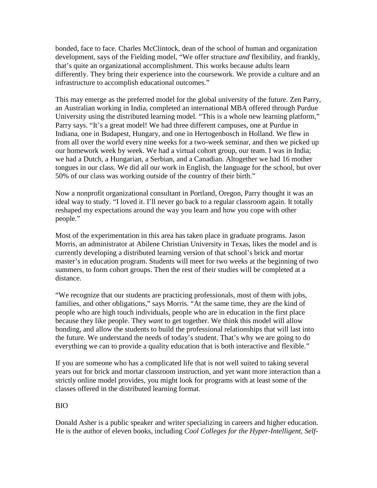bonded, face to face. Charles McClintock, dean of the school of human and organization development, says of the Fielding model, "We offer structure *and* flexibility, and frankly, that's quite an organizational accomplishment. This works because adults learn differently. They bring their experience into the coursework. We provide a culture and an infrastructure to accomplish educational outcomes."

This may emerge as the preferred model for the global university of the future. Zen Parry, an Australian working in India, completed an international MBA offered through Purdue University using the distributed learning model. "This is a whole new learning platform," Parry says. "It's a great model! We had three different campuses, one at Purdue in Indiana, one in Budapest, Hungary, and one in Hertogenbosch in Holland. We flew in from all over the world every nine weeks for a two-week seminar, and then we picked up our homework week by week. We had a virtual cohort group, our team. I was in India; we had a Dutch, a Hungarian, a Serbian, and a Canadian. Altogether we had 16 mother tongues in our class. We did all our work in English, the language for the school, but over 50% of our class was working outside of the country of their birth."

Now a nonprofit organizational consultant in Portland, Oregon, Parry thought it was an ideal way to study. "I loved it. I'll never go back to a regular classroom again. It totally reshaped my expectations around the way you learn and how you cope with other people."

Most of the experimentation in this area has taken place in graduate programs. Jason Morris, an administrator at Abilene Christian University in Texas, likes the model and is currently developing a distributed learning version of that school's brick and mortar master's in education program. Students will meet for two weeks at the beginning of two summers, to form cohort groups. Then the rest of their studies will be completed at a distance.

"We recognize that our students are practicing professionals, most of them with jobs, families, and other obligations," says Morris. "At the same time, they are the kind of people who are high touch individuals, people who are in education in the first place because they like people. They *want* to get together. We think this model will allow bonding, and allow the students to build the professional relationships that will last into the future. We understand the needs of today's student. That's why we are going to do everything we can to provide a quality education that is both interactive and flexible."

If you are someone who has a complicated life that is not well suited to taking several years out for brick and mortar classroom instruction, and yet want more interaction than a strictly online model provides, you might look for programs with at least some of the classes offered in the distributed learning format.

## BIO

Donald Asher is a public speaker and writer specializing in careers and higher education. He is the author of eleven books, including *Cool Colleges for the Hyper-Intelligent, Self-*